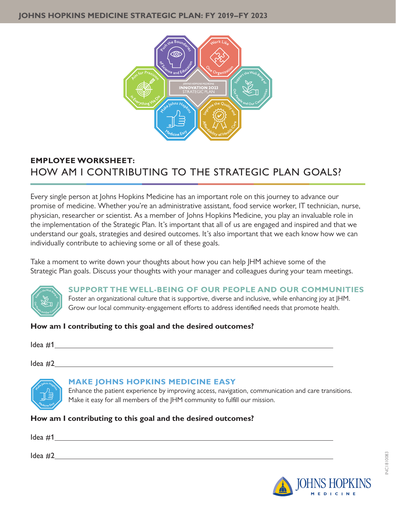

# **EMPLOYEE WORKSHEET:**  HOW AM I CONTRIBUTING TO THE STRATEGIC PLAN GOALS?

Every single person at Johns Hopkins Medicine has an important role on this journey to advance our promise of medicine. Whether you're an administrative assistant, food service worker, IT technician, nurse, physician, researcher or scientist. As a member of Johns Hopkins Medicine, you play an invaluable role in the implementation of the Strategic Plan. It's important that all of us are engaged and inspired and that we understand our goals, strategies and desired outcomes. It's also important that we each know how we can individually contribute to achieving some or all of these goals.

Take a moment to write down your thoughts about how you can help JHM achieve some of the Strategic Plan goals. Discuss your thoughts with your manager and colleagues during your team meetings.



**SUPPORT THE WELL-BEING OF OUR PEOPLE AND OUR COMMUNITIES** Foster an organizational culture that is supportive, diverse and inclusive, while enhancing joy at JHM.

Grow our local community-engagement efforts to address identified needs that promote health.

# **How am I contributing to this goal and the desired outcomes?**

Idea #1

 $\text{Idea}$  #2  $\text{Idea}$  #2



# **MAKE JOHNS HOPKINS MEDICINE EASY**

Enhance the patient experience by improving access, navigation, communication and care transitions. Make it easy for all members of the JHM community to fulfill our mission.

**How am I contributing to this goal and the desired outcomes?**

Idea #1 Idea #2